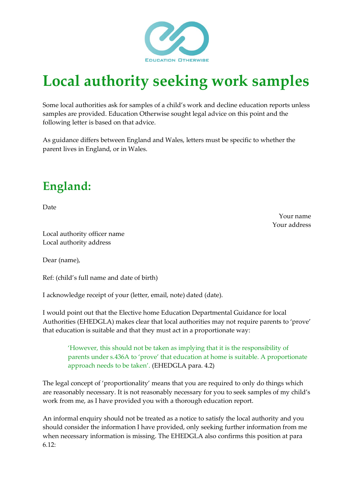

## **Local authority seeking work samples**

Some local authorities ask for samples of a child's work and decline education reports unless samples are provided. Education Otherwise sought legal advice on this point and the following letter is based on that advice.

As guidance differs between England and Wales, letters must be specific to whether the parent lives in England, or in Wales.

## **England:**

Date

Your name Your address

Local authority officer name Local authority address

Dear (name),

Ref: (child's full name and date of birth)

I acknowledge receipt of your (letter, email, note) dated (date).

I would point out that the Elective home Education Departmental Guidance for local Authorities (EHEDGLA) makes clear that local authorities may not require parents to 'prove' that education is suitable and that they must act in a proportionate way:

'However, this should not be taken as implying that it is the responsibility of parents under s.436A to 'prove' that education at home is suitable. A proportionate approach needs to be taken'. (EHEDGLA para. 4.2)

The legal concept of 'proportionality' means that you are required to only do things which are reasonably necessary. It is not reasonably necessary for you to seek samples of my child's work from me, as I have provided you with a thorough education report.

An informal enquiry should not be treated as a notice to satisfy the local authority and you should consider the information I have provided, only seeking further information from me when necessary information is missing. The EHEDGLA also confirms this position at para 6.12: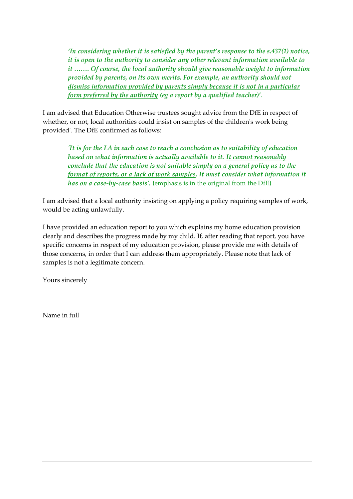*'In considering whether it is satisfied by the parent's response to the s.437(1) notice, it is open to the authority to consider any other relevant information available to it ……. Of course, the local authority should give reasonable weight to information provided by parents, on its own merits. For example, an authority should not dismiss information provided by parents simply because it is not in a particular form preferred by the authority (eg a report by a qualified teacher)***'**.

I am advised that Education Otherwise trustees sought advice from the DfE in respect of whether, or not, local authorities could insist on samples of the children's work being provided'. The DfE confirmed as follows:

*'It is for the LA in each case to reach a conclusion as to suitability of education based on what information is actually available to it. It cannot reasonably conclude that the education is not suitable simply on a general policy as to the format of reports, or a lack of work samples. It must consider what information it has on a case-by-case basis'.* **(**emphasis is in the original from the DfE**)**

I am advised that a local authority insisting on applying a policy requiring samples of work, would be acting unlawfully.

I have provided an education report to you which explains my home education provision clearly and describes the progress made by my child. If, after reading that report, you have specific concerns in respect of my education provision, please provide me with details of those concerns, in order that I can address them appropriately. Please note that lack of samples is not a legitimate concern.

Yours sincerely

Name in full